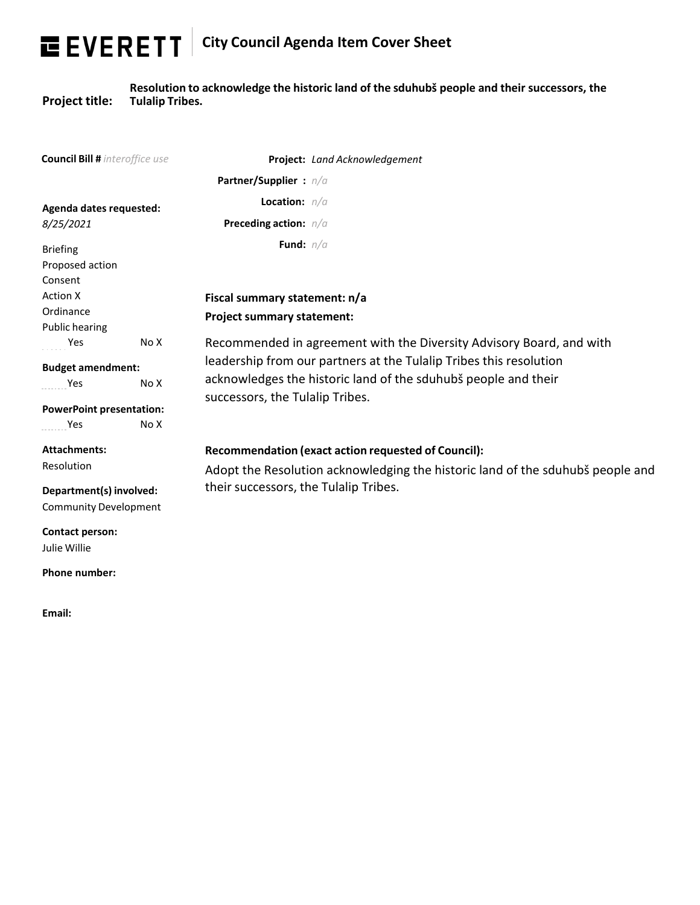## **City Council Agenda Item Cover Sheet**

**Project title:**

**Resolution to acknowledge the historic land of the sduhubš people and their successors, the Tulalip Tribes.**

| <b>Council Bill #</b> interoffice use          | Project: Land Acknowledgement                                                  |
|------------------------------------------------|--------------------------------------------------------------------------------|
|                                                | Partner/Supplier: n/a                                                          |
| Agenda dates requested:                        | <b>Location:</b> $n/a$                                                         |
| 8/25/2021                                      | Preceding action: n/a                                                          |
| <b>Briefing</b>                                | Fund: $n/a$                                                                    |
| Proposed action<br>Consent                     |                                                                                |
| <b>Action X</b>                                | Fiscal summary statement: n/a                                                  |
| Ordinance                                      | <b>Project summary statement:</b>                                              |
| Public hearing<br>No X<br>Yes                  | Recommended in agreement with the Diversity Advisory Board, and with           |
|                                                | leadership from our partners at the Tulalip Tribes this resolution             |
| <b>Budget amendment:</b><br>Yes<br>No X        | acknowledges the historic land of the sduhubš people and their                 |
|                                                | successors, the Tulalip Tribes.                                                |
| <b>PowerPoint presentation:</b><br>Yes<br>No X |                                                                                |
|                                                |                                                                                |
| <b>Attachments:</b>                            | Recommendation (exact action requested of Council):                            |
| Resolution                                     | Adopt the Resolution acknowledging the historic land of the sduhubš people and |
| Department(s) involved:                        | their successors, the Tulalip Tribes.                                          |
| <b>Community Development</b>                   |                                                                                |
| <b>Contact person:</b>                         |                                                                                |
| Julie Willie                                   |                                                                                |
| Phone number:                                  |                                                                                |
|                                                |                                                                                |
| Email:                                         |                                                                                |
|                                                |                                                                                |
|                                                | ш<br>ш                                                                         |
|                                                | ш<br>ш                                                                         |
|                                                | ш<br>ш<br>ш                                                                    |
|                                                | ш<br>ш<br>ш                                                                    |
|                                                | ш<br>ш<br>$\mathbb{R}^d$                                                       |
|                                                | m<br>ш<br>ш                                                                    |
|                                                | ш<br>ш                                                                         |
|                                                | ш<br>ш<br>ш                                                                    |
|                                                | ш<br>ш<br>ш                                                                    |
|                                                | ш<br>ш<br>ш                                                                    |
|                                                | ш<br>U.<br>ш                                                                   |
|                                                |                                                                                |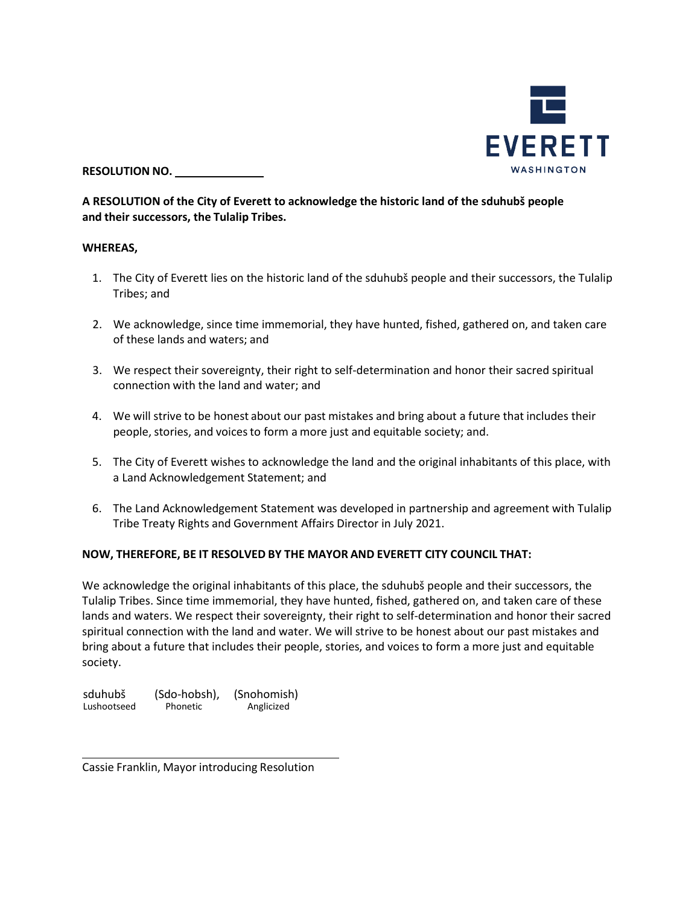

**RESOLUTION NO.**

## **A RESOLUTION of the City of Everett to acknowledge the historic land of the sduhubš people and their successors, the Tulalip Tribes.**

## **WHEREAS,**

- 1. The City of Everett lies on the historic land of the sduhubš people and their successors, the Tulalip Tribes; and
- 2. We acknowledge, since time immemorial, they have hunted, fished, gathered on, and taken care of these lands and waters; and
- 3. We respect their sovereignty, their right to self-determination and honor their sacred spiritual connection with the land and water; and
- 4. We will strive to be honest about our past mistakes and bring about a future that includes their people, stories, and voicesto form a more just and equitable society; and.
- 5. The City of Everett wishes to acknowledge the land and the original inhabitants of this place, with a Land Acknowledgement Statement; and
- 6. The Land Acknowledgement Statement was developed in partnership and agreement with Tulalip Tribe Treaty Rights and Government Affairs Director in July 2021.

## **NOW, THEREFORE, BE IT RESOLVED BY THE MAYOR AND EVERETT CITY COUNCIL THAT:**

We acknowledge the original inhabitants of this place, the sduhubš people and their successors, the Tulalip Tribes. Since time immemorial, they have hunted, fished, gathered on, and taken care of these lands and waters. We respect their sovereignty, their right to self-determination and honor their sacred spiritual connection with the land and water. We will strive to be honest about our past mistakes and bring about a future that includes their people, stories, and voices to form a more just and equitable society.

| sduhubš     | (Sdo-hobsh), | (Snohomish) |
|-------------|--------------|-------------|
| Lushootseed | Phonetic     | Anglicized  |

Cassie Franklin, Mayor introducing Resolution